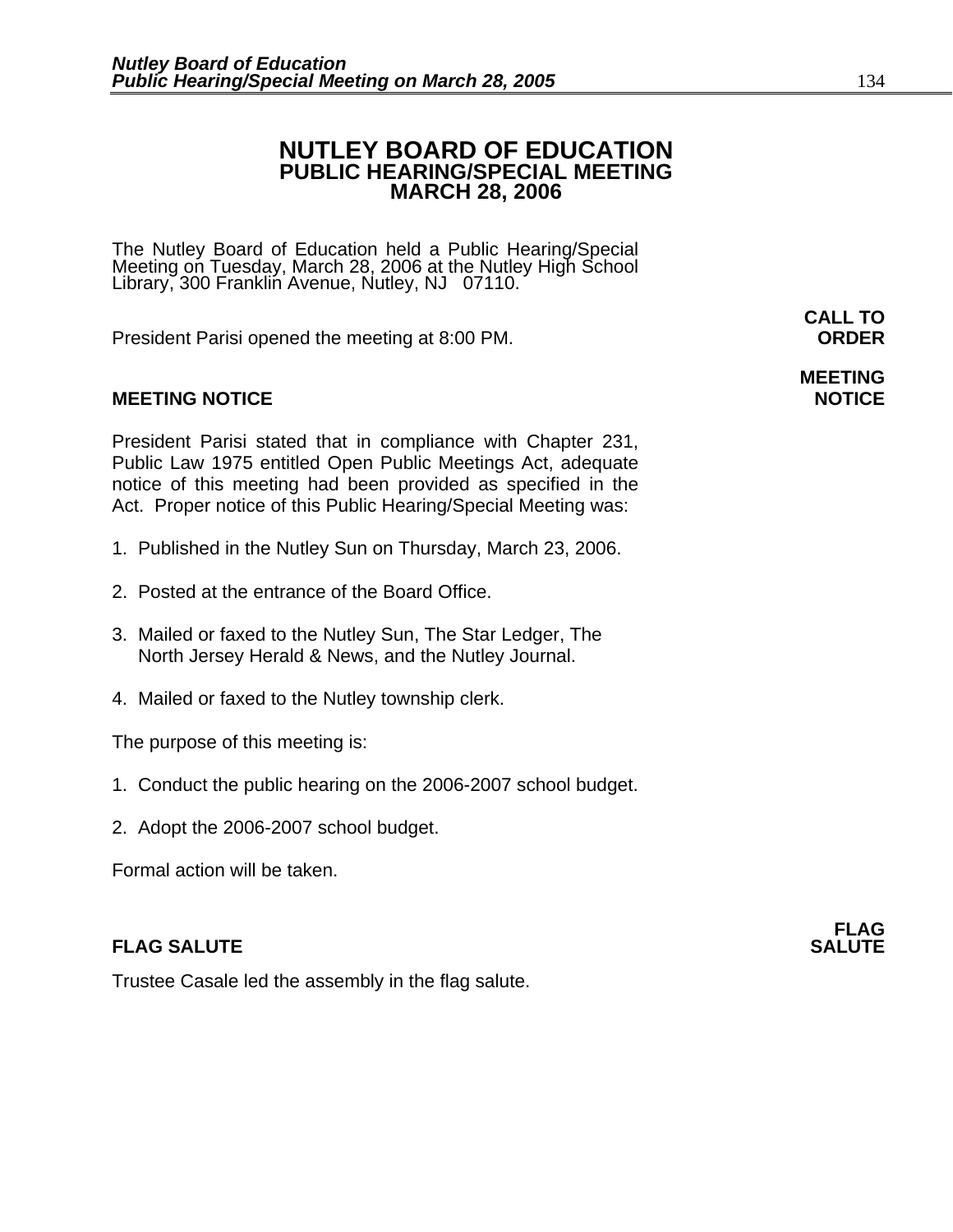## **NUTLEY BOARD OF EDUCATION PUBLIC HEARING/SPECIAL MEETING MARCH 28, 2006**

The Nutley Board of Education held a Public Hearing/Special Meeting on Tuesday, March 28, 2006 at the Nutley High School Library, 300 Franklin Avenue, Nutley, NJ 07110.

President Parisi opened the meeting at 8:00 PM. **ORDER**

### **MEETING NOTICE NOTICE**

President Parisi stated that in compliance with Chapter 231, Public Law 1975 entitled Open Public Meetings Act, adequate notice of this meeting had been provided as specified in the Act. Proper notice of this Public Hearing/Special Meeting was:

- 1. Published in the Nutley Sun on Thursday, March 23, 2006.
- 2. Posted at the entrance of the Board Office.
- 3. Mailed or faxed to the Nutley Sun, The Star Ledger, The North Jersey Herald & News, and the Nutley Journal.
- 4. Mailed or faxed to the Nutley township clerk.

The purpose of this meeting is:

- 1. Conduct the public hearing on the 2006-2007 school budget.
- 2. Adopt the 2006-2007 school budget.

Formal action will be taken.

### **FLAG SALUTE** SALUTE SALUTE SALUTE SALUTE SALUTE

Trustee Casale led the assembly in the flag salute.

**CALL TO** 

# **MEETING**

**FLAG**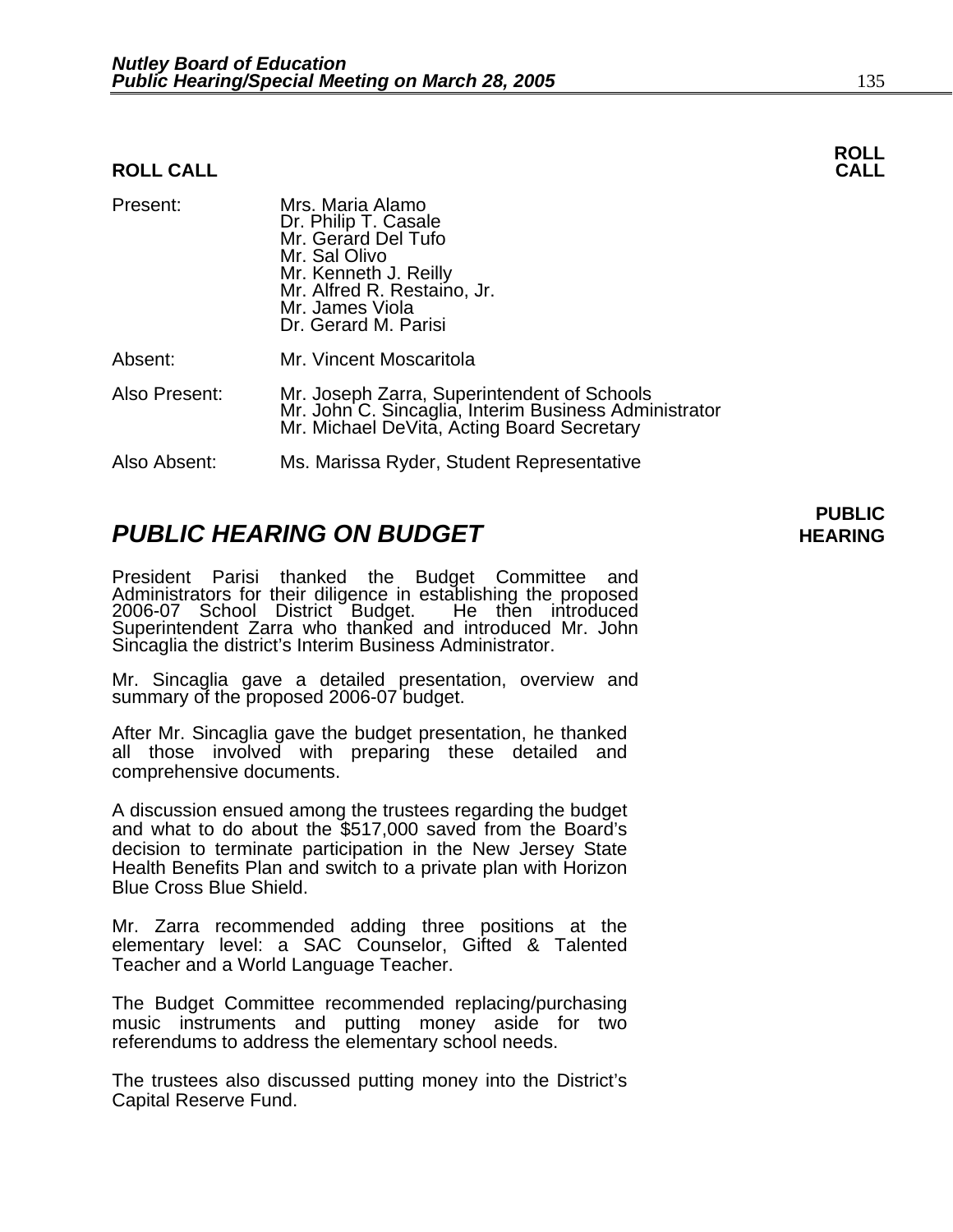#### **ROLL CALL**

| Present:      | Mrs. Maria Alamo<br>Dr. Philip T. Casale<br>Mr. Gerard Del Tufo<br>Mr. Sal Olivo<br>Mr. Kenneth J. Reilly<br>Mr. Alfred R. Restaino, Jr.<br>Mr. James Viola<br>Dr. Gerard M. Parisi |
|---------------|-------------------------------------------------------------------------------------------------------------------------------------------------------------------------------------|
| Absent:       | Mr. Vincent Moscaritola                                                                                                                                                             |
| Also Present: | Mr. Joseph Zarra, Superintendent of Schools<br>Mr. John C. Sincaglia, Interim Business Administrator<br>Mr. Michael DeVita, Acting Board Secretary                                  |
| Also Absent:  | Ms. Marissa Ryder, Student Representative                                                                                                                                           |

## **PUBLIC HEARING ON BUDGET HEARING**

President Parisi thanked the Budget Committee and Administrators for their diligence in establishing the proposed 2006-07 School District Budget. He then introduced Superintendent Zarra who thanked and introduced Mr. John Sincaglia the district's Interim Business Administrator.

Mr. Sincaglia gave a detailed presentation, overview and summary of the proposed 2006-07 budget.

After Mr. Sincaglia gave the budget presentation, he thanked all those involved with preparing these detailed and comprehensive documents.

A discussion ensued among the trustees regarding the budget and what to do about the \$517,000 saved from the Board's decision to terminate participation in the New Jersey State Health Benefits Plan and switch to a private plan with Horizon Blue Cross Blue Shield.

Mr. Zarra recommended adding three positions at the elementary level: a SAC Counselor, Gifted & Talented Teacher and a World Language Teacher.

The Budget Committee recommended replacing/purchasing music instruments and putting money aside for two referendums to address the elementary school needs.

The trustees also discussed putting money into the District's Capital Reserve Fund.

# **ROLL**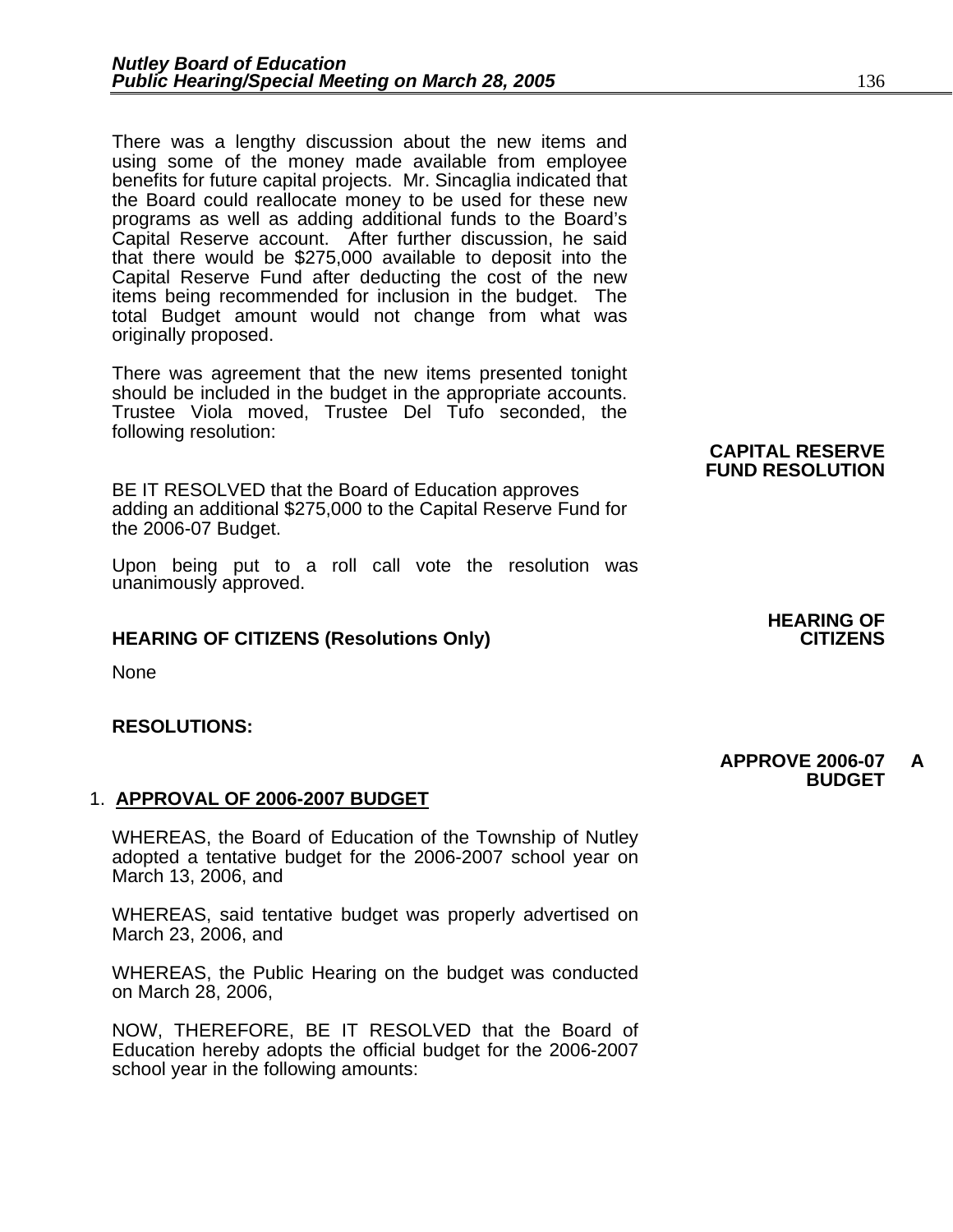There was a lengthy discussion about the new items and using some of the money made available from employee benefits for future capital projects. Mr. Sincaglia indicated that the Board could reallocate money to be used for these new programs as well as adding additional funds to the Board's Capital Reserve account. After further discussion, he said that there would be \$275,000 available to deposit into the Capital Reserve Fund after deducting the cost of the new items being recommended for inclusion in the budget. The total Budget amount would not change from what was originally proposed.

There was agreement that the new items presented tonight should be included in the budget in the appropriate accounts. Trustee Viola moved, Trustee Del Tufo seconded, the following resolution:

BE IT RESOLVED that the Board of Education approves adding an additional \$275,000 to the Capital Reserve Fund for the 2006-07 Budget.

Upon being put to a roll call vote the resolution was unanimously approved.

#### **HEARING OF CITIZENS (Resolutions Only)**

None

#### **RESOLUTIONS:**

#### 1. **APPROVAL OF 2006-2007 BUDGET**

WHEREAS, the Board of Education of the Township of Nutley adopted a tentative budget for the 2006-2007 school year on March 13, 2006, and

WHEREAS, said tentative budget was properly advertised on March 23, 2006, and

WHEREAS, the Public Hearing on the budget was conducted on March 28, 2006,

NOW, THEREFORE, BE IT RESOLVED that the Board of Education hereby adopts the official budget for the 2006-2007 school year in the following amounts:

# **CAPITAL RESERVE FUND RESOLUTION**

#### **APPROVE 2006-07 A BUDGET**

**HEARING OF**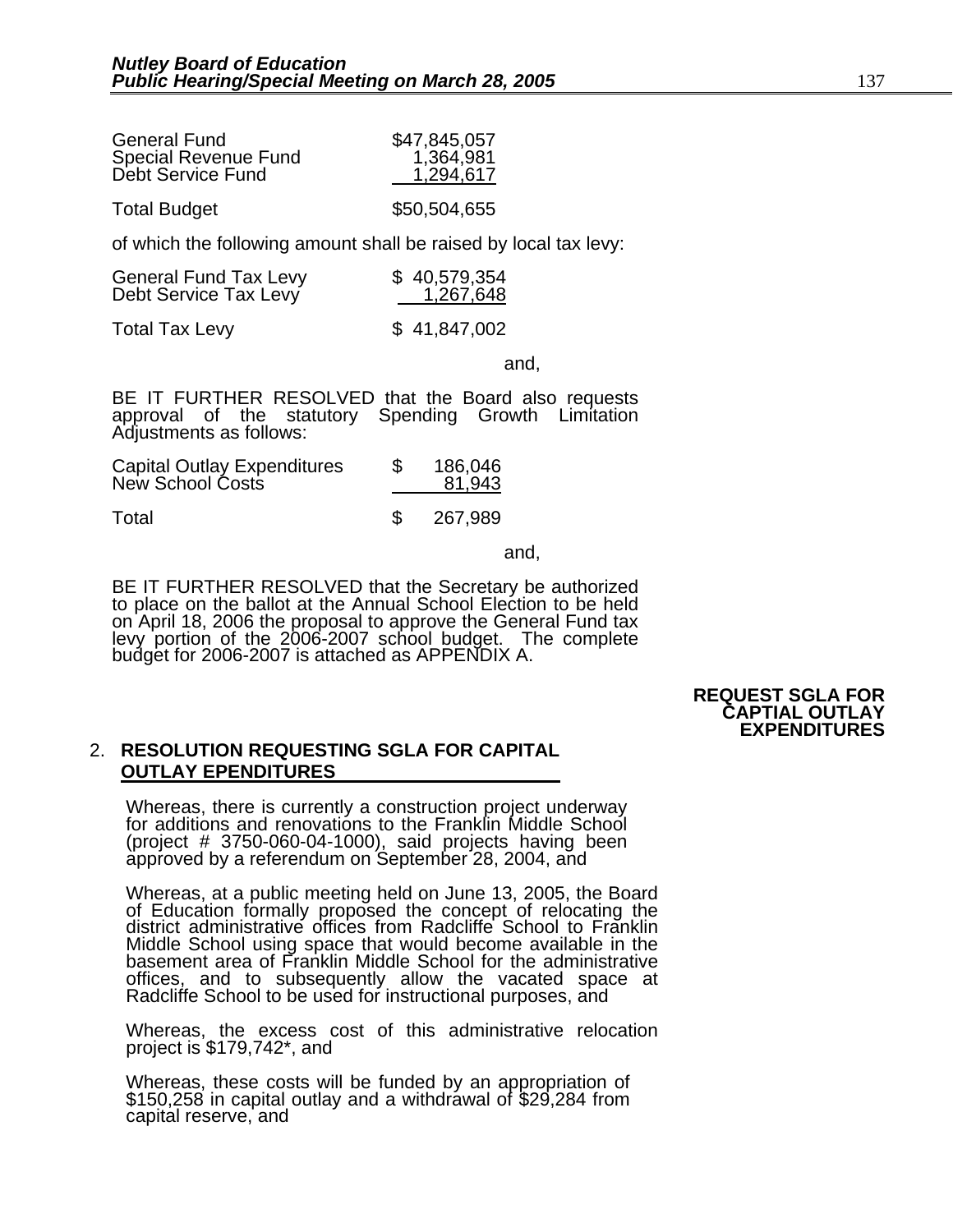| <b>General Fund</b>  | \$47,845,057 |
|----------------------|--------------|
| Special Revenue Fund | 1,364,981    |
| Debt Service Fund    | 1,294,617    |
| <b>Total Budget</b>  | \$50,504,655 |

of which the following amount shall be raised by local tax levy:

| <b>General Fund Tax Levy</b> | \$40,579,354 |
|------------------------------|--------------|
| Debt Service Tax Levy        | 1,267,648    |

Total Tax Levy \$ 41,847,002

and,

BE IT FURTHER RESOLVED that the Board also requests approval of the statutory Spending Growth Limitation Adjustments as follows:

| <b>Capital Outlay Expenditures</b> | 186,046 |
|------------------------------------|---------|
| New School Costs                   | 81,943  |

Total \$ 267,989

and, the contract of the contract of the contract of the contract of the contract of the contract of the contract of the contract of the contract of the contract of the contract of the contract of the contract of the contr

BE IT FURTHER RESOLVED that the Secretary be authorized to place on the ballot at the Annual School Election to be held on April 18, 2006 the proposal to approve the General Fund tax levy portion of the 2006-2007 school budget. The complete budget for 2006-2007 is attached as APPENDIX A.

#### **REQUEST SGLA FOR CAPTIAL OUTLAY EXPENDITURES**

#### 2. **RESOLUTION REQUESTING SGLA FOR CAPITAL OUTLAY EPENDITURES**

Whereas, there is currently a construction project underway for additions and renovations to the Franklin Middle School (project # 3750-060-04-1000), said projects having been approved by a referendum on September 28, 2004, and

Whereas, at a public meeting held on June 13, 2005, the Board of Education formally proposed the concept of relocating the district administrative offices from Radcliffe School to Franklin Middle School using space that would become available in the basement area of Franklin Middle School for the administrative offices, and to subsequently allow the vacated space at Radcliffe School to be used for instructional purposes, and

Whereas, the excess cost of this administrative relocation project is \$179,742\*, and

Whereas, these costs will be funded by an appropriation of \$150,258 in capital outlay and a withdrawal of \$29,284 from capital reserve, and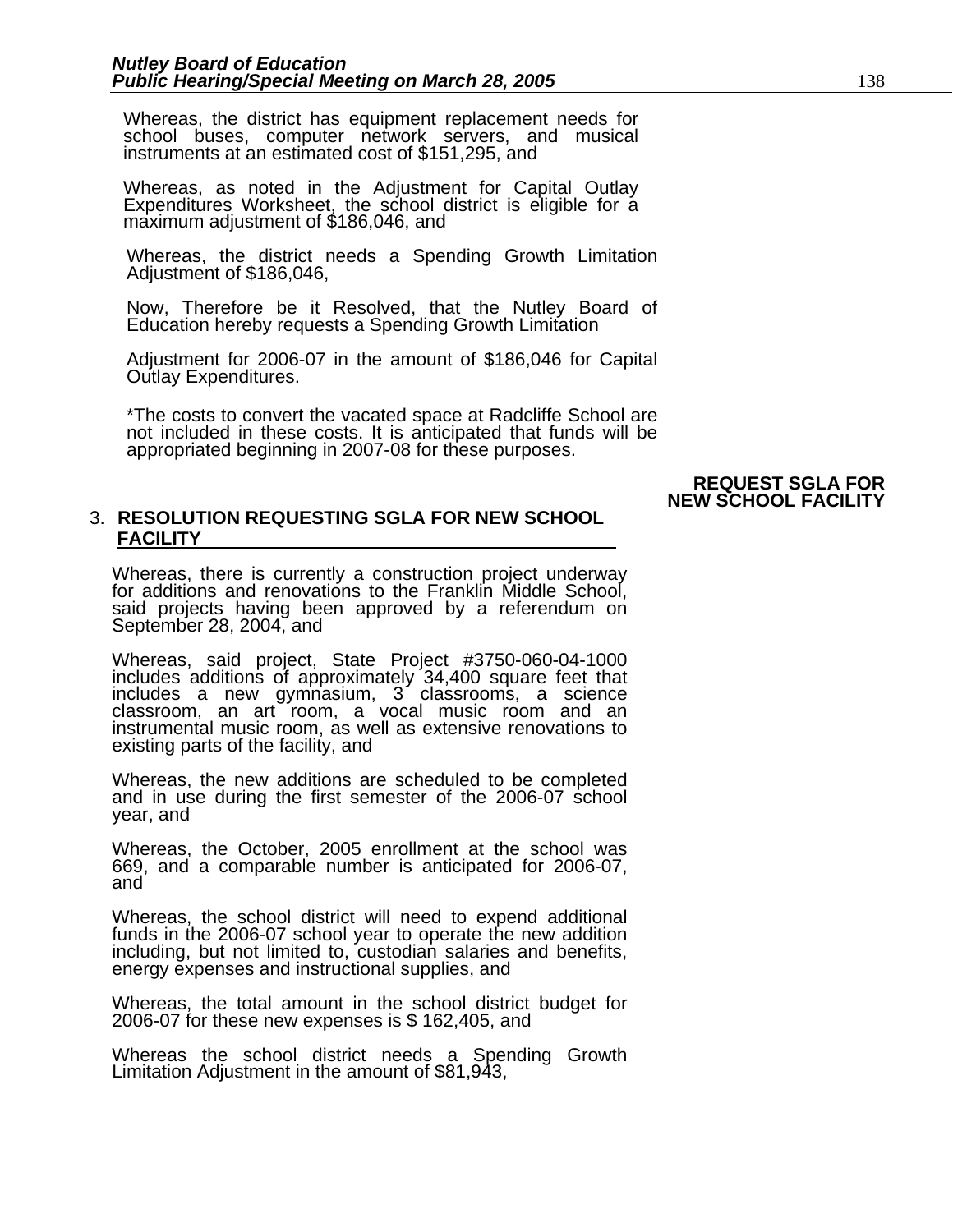Whereas, the district has equipment replacement needs for school buses, computer network servers, and musical instruments at an estimated cost of \$151,295, and

Whereas, as noted in the Adjustment for Capital Outlay Expenditures Worksheet, the school district is eligible for a maximum adjustment of \$186,046, and

Whereas, the district needs a Spending Growth Limitation Adjustment of \$186,046,

Now, Therefore be it Resolved, that the Nutley Board of Education hereby requests a Spending Growth Limitation

Adjustment for 2006-07 in the amount of \$186,046 for Capital Outlay Expenditures.

\*The costs to convert the vacated space at Radcliffe School are not included in these costs. It is anticipated that funds will be appropriated beginning in 2007-08 for these purposes.

#### **REQUEST SGLA FOR NEW SCHOOL FACILITY**

#### 3. **RESOLUTION REQUESTING SGLA FOR NEW SCHOOL FACILITY**

Whereas, there is currently a construction project underway for additions and renovations to the Franklin Middle School, said projects having been approved by a referendum on September 28, 2004, and

Whereas, said project, State Project #3750-060-04-1000 includes additions of approximately 34,400 square feet that includes a new gymnasium, 3 classrooms, a science classroom, an art room, a vocal music room and an instrumental music room, as well as extensive renovations to existing parts of the facility, and

Whereas, the new additions are scheduled to be completed and in use during the first semester of the 2006-07 school year, and

Whereas, the October, 2005 enrollment at the school was 669, and a comparable number is anticipated for 2006-07, and

Whereas, the school district will need to expend additional funds in the 2006-07 school year to operate the new addition including, but not limited to, custodian salaries and benefits, energy expenses and instructional supplies, and

Whereas, the total amount in the school district budget for 2006-07 for these new expenses is \$ 162,405, and

Whereas the school district needs a Spending Growth Limitation Adjustment in the amount of \$81,943,